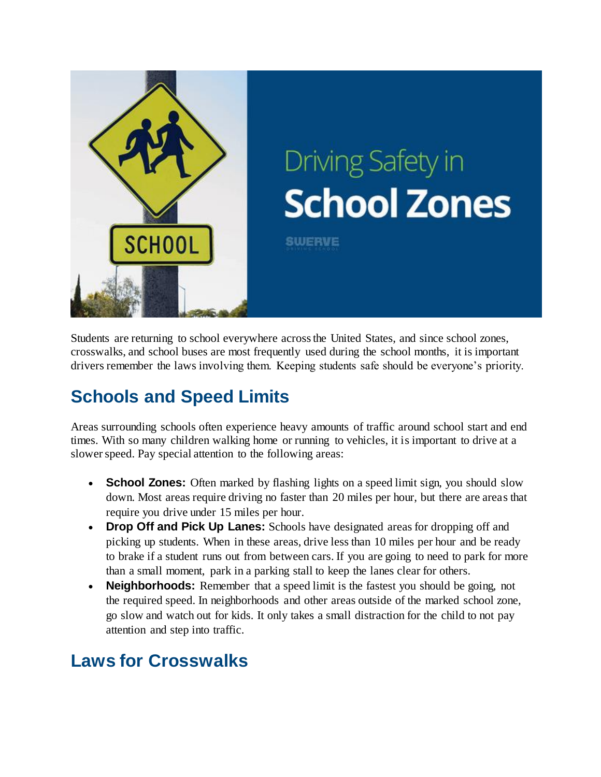

Students are returning to school everywhere across the United States, and since school zones, crosswalks, and school buses are most frequently used during the school months, it is important drivers remember the laws involving them. Keeping students safe should be everyone's priority.

## **Schools and Speed Limits**

Areas surrounding schools often experience heavy amounts of traffic around school start and end times. With so many children walking home or running to vehicles, it is important to drive at a slower speed. Pay special attention to the following areas:

- **School Zones:** Often marked by flashing lights on a speed limit sign, you should slow down. Most areas require driving no faster than 20 miles per hour, but there are areas that require you drive under 15 miles per hour.
- **Drop Off and Pick Up Lanes:** Schools have designated areas for dropping off and picking up students. When in these areas, drive less than 10 miles per hour and be ready to brake if a student runs out from between cars. If you are going to need to park for more than a small moment, park in a parking stall to keep the lanes clear for others.
- **Neighborhoods:** Remember that a speed limit is the fastest you should be going, not the required speed. In neighborhoods and other areas outside of the marked school zone, go slow and watch out for kids. It only takes a small distraction for the child to not pay attention and step into traffic.

## **Laws for Crosswalks**